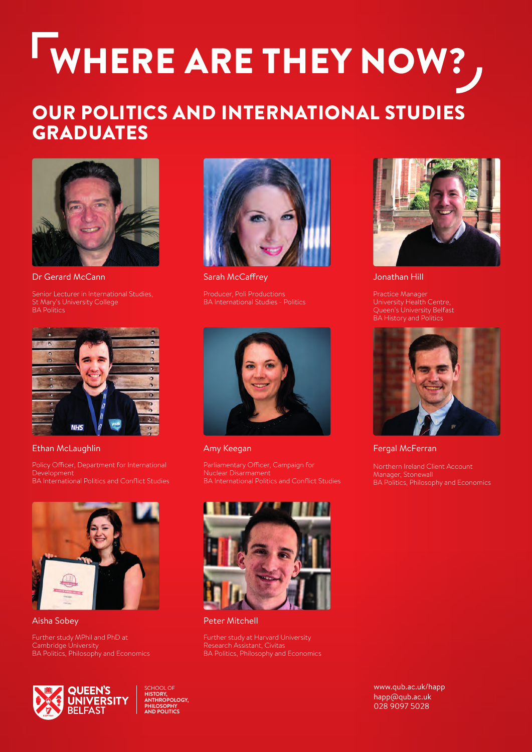# WHERE ARE THEY NOW?

### OUR POLITICS AND INTERNATIONAL STUDIES GRADUATES



Dr Gerard McCann

Senior Lecturer in International Studies, St Mary's University College BA Politics



Ethan McLaughlin

Policy Officer, Department for International Development BA International Politics and Conflict Studies



Aisha Sobey

Further study MPhil and PhD at Cambridge University BA Politics, Philosophy and Economics



Sarah McCaffrey

Producer, Poli Productions BA International Studies - Politics



Amy Keegan

Parliamentary Officer, Campaign for



Peter Mitchell

Further study at Harvard University Research Assistant, Civitas BA Politics, Philosophy and Economics



Jonathan Hill

Practice Manager University Health Centre, Queen's University Belfast BA History and Politics



Fergal McFerran

Northern Ireland Client Account Manager, Stonewall BA Politics, Philosophy and Economics



SCHOOL OF **HISTORY, ANTHROPOLOGY, PHILOSOPHY AND POLITICS**